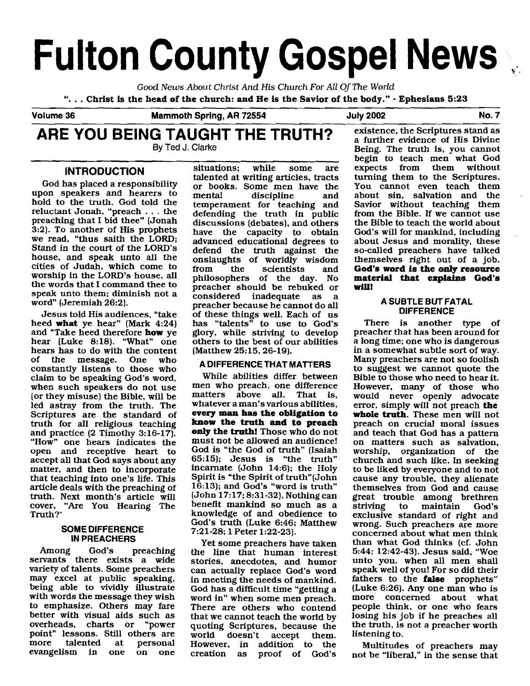# **Fulton County Gospel News** .

Good **News** About Christ And His Church For All Of The World ". . . **Christ is the head of the church:** and **He is the** Savior of **the** body." - **Ephesians 5:23** 

**Volume 36** am moth **spring,^^ 72554 July 2002 No. 7** 

#### **ARE YOU BEING TAUGHT THE TRUTH? By Ted** J. **Clarke**

### **INTRODUCTION**

God has placed a responsibility upon speakers and hearers to hold to the truth. God told the reluctant Jonah, "preach . . . the preaching that I bid thee" [Jonah 3:2). To another of His prophets we read. "thus saith the LORD; Stand in the court of the LORD'S house, and speak unto all the cities of Judah, which come to worship in the LORD'S house, all the words that I command thee to speak unto them; diminish not a word" (Jeremiah 26:2).

Jesus told His audiences, "take heed **what** ye hear" (Mark 4:24) and "Take heed therefore **how** ye hear [Luke 8:18). "What" one hears has to do with the content<br>of the message. One who message. One who constantly listens to those who claim to be speaking God's word, when such speakers do not use (or they misuse) the Bible, will be led astray from the truth. The Scriptures are the standard of truth for all religious teaching and practice (2 Timothy 3: 16-17). "How" one hears indicates the open and receptive heart to accept all that God says about any matter, and then to incorporate that teaching into one's life. This article deals with the preaching of truth. Next month's article will cover, "Are You Hearing The Truth?'

#### **SOME DIFFERENCE IN PREACHERS**

Among God's preaching servants there exists a wide variety of talents. Some preachers may excel at public speaking, being able to vividly illustrate with words the message they wish to emphasize. Others may fare better with visual aids such as<br>overheads, charts or "power charts or point" lessons. Still others are<br>more talented at personal personal evangelism in one on one

situations; while some are talented at writing articles, tracts or books. Some men have the<br>mental discipline and discipline temperament for teaching and defending the truth in public discussions [debates), and others have the capacity to obtain advanced educational degrees to defend the truth against the onslaughts of worldly wisdom<br>from the scientists and scientists and philosophers of the day. No preacher should be rebuked or considered inadequate as a preacher because he cannot do all of these things well. Each of us has "talents" to use to God's glory, while striving to develop others to the best of our abilities (Matthew 25:15,26-19).

#### **A DIFFERENCE THAT MATTERS**

While abilities differ between men who preach, one difference matters above all. That is, whatever a man's various abilities, **every man has the obligation to know the truth and to preach only the truth!** Those who do not must not be allowed an audience! God is "the God of truth" (Isaiah 65:15); Jesus is "the truth" incarnate (John 14:6); the Holy Spirit is "the Spirit of truth"(John 16:13); and God's "word is truth" (John 17:17; 8:31-32). Nothing can benefit mankind so much as a knowledge of and obedience to God's truth (Luke 6:46; Matthew 7:21-28; 1 Peter 1:22-23).

Yet some preachers have taken the line that human interest stories, anecdotes, and humor can actually replace God's word in meeting the needs of mankind. God has a difficult time "getting a word in" when some men preach. There are others who contend that we cannot teach the world by quoting Scriptures, because the world doesn't accept them. However, in addition to the creation as proof of God's proof of God's

existence, the Scriptures stand as a further evidence of His Divine Being. The truth is, you cannot begin to teach men what God<br>expects from them without expects from them turning them to the Scriptures. You cannot even teach them about sin, salvation and the Savior without teaching them from the Bible. If we cannot use the Bible to teach the world about God's will for mankind, including about Jesus and morality, these so-called preachers have talked themselves right out of a job. **God's word is the only resource material that explains God's will!** 

#### **A SUBTLE BUT FATAL DIFFERENCE**

There is another type of preacher that has been around for a long time; one who is dangerous in a somewhat subtle sort of way. Many preachers are not so foolish to suggest we cannot quote the Bible to those who need to hear it. However, many of those who would never openly advocate error, simply will not preach **the whole truth.** These men will not preach on crucial moral issues and teach that God has a pattern on matters such as salvation, worship, organization of the church and such like. In seeking to be liked by everyone and to not cause any trouble, they alienate themselves from God and cause great trouble among brethren<br>striving to maintain God's maintain exclusive standard of right and wrong. Such preachers are more concerned about what men think than what God thinks [cf. John 544; 12:42-43). Jesus said. "Woe unto you, when all men shall speak well of you! For so did their fathers to the **false** prophets" (Luke 6:26). Any one man who is more concerned about what people think, or one who fears losing his job if he preaches all the truth, is not a preacher worth listening to.

Multitudes of preachers may not be "liberal." in the sense that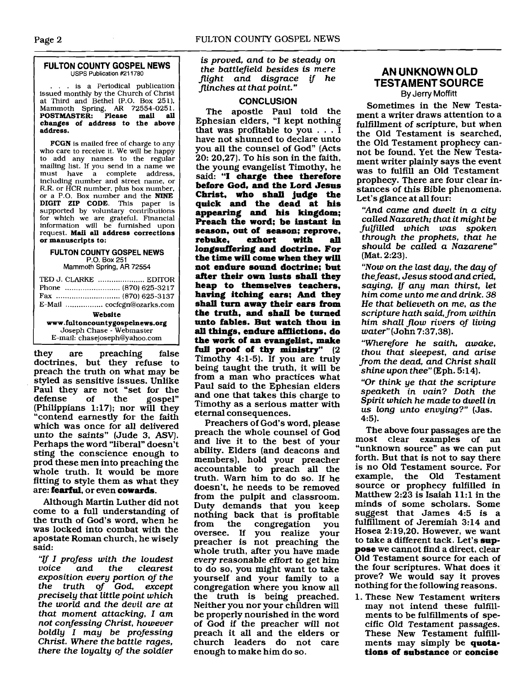#### **FULTON COUNTY GOSPEL NEWS USPS Publication #211780**

.. is a Periodical publication issued monthly by the Church of Christ at Third and Bethel (P.O. Box 251). Mammoth Spring, **AR** 72554-025 1. POSTMASTER: **Please mail all changes of address to the above address.** 

FCGN is mailed free of charge to any who care to receive it. We will be happy to add any names to the regular mailing list. If you send in a name we must have a complete address, including number and street name, or R.R. or HCR number, plus box number. or a P.O. Box number and the **NINE**  DIGIT **ZIP** CODE. This paper is supported by voluntary contributions for which we are grateful. Financial information will be furnished upon request. **Mail all address corrections or manuscripts to:** 

#### **FULTON COUNTY GOSPEL NEWS P.O.** Box 251

Mammoth **Spring, AR** 72554

| TED J. CLARKE  EDITOR          |  |  |  |
|--------------------------------|--|--|--|
| E-Mail  cocfcgn@ozarks.com     |  |  |  |
| Website                        |  |  |  |
| www.fultoncountygospelnews.org |  |  |  |
| Joseph Chase - Webmaster       |  |  |  |
| E-mail: chasejoseph@yahoo.com  |  |  |  |

they are preaching false doctrines, but they refuse to preach the truth on what may be styled as sensitive issues. Unlike Paul they are not "set for the<br>defense of the gospel" gospel" (Philippians 1:17); nor will they "contend earnestly for the faith which was once for all delivered unto the saints" (Jude 3, ASV). Perhaps the word "liberal" doesn't sting the conscience enough to prod these men into preaching the whole truth. It would be more fitting to style them as what they are: **fearful,** or even **cowards.** 

Although Martin Luther did not come to a full understanding of the truth of God's word, when he was locked into combat with the apostate Roman church, he wisely said:

"If I profess with the loudest clearest exposition every portion of the the truth of God, except precisely that little point which the world and the devil are at that moment attacking, I am not confessing Christ, however boldly I may be professing Christ. Where the battle rages, there the loyalty of the soldier

is proved, and to be steady on the battlefield besides is mere flight and disgrace if he flinches at that point."

#### **CONCLUSION**

The apostle Paul told the Ephesian elders, "I kept nothing that was profitable to you ... I have not shunned to declare unto you all the counsel of God" (Acts 20: 20.27). To his son in the faith, the young evangelist Timothy, he said: "I **charge thee therefore before God, and the Lord Jesus Christ, who shall judge the quick and the dead at his appearing and his kingdom; Preach the word; be instant in season, out of season; reprove,**  rebuke. **longsuffering and doctrine. For the time will come when they will not endure sound doctrine; but after their own lusts shall they heap to themselves teachers, having itching ears; And they shall turn away their ears from the truth, and shall be turned unto fables. But watch thou in all things, endure afflictions, do the work of an evangelist, make full proof of thy ministry"** (2 Timothy 4:l-5). If you are truly being taught the truth, it will be from a man who practices what Paul said to the Ephesian elders and one that takes this charge to Timothy as a serious matter with eternal consequences.

Preachers of God's word, please preach the whole counsel of God and live it to the best of your ability. Elders (and deacons and members), hold your preacher accountable to preach all the truth. Warn him to do so. If he doesn't, he needs to be removed from the pulpit and classroom. Duty demands that you keep nothing back that is profitable<br>from the congregation you from the congregation you oversee. If you realize your preacher is not preaching the whole truth, after you have made every reasonable effort to get him to do so, you might want to take yourself and your family to a congregation where you know all the truth is being preached. Neither you nor your children will be properly nourished in the word of God if the preacher will not preach it all and the elders or church leaders do not care enough to make him do so.

#### **AN UNKNOWN OLD TESTAMENT SOLIRCE By Jerry Moffitt**

Sometimes in the New Testament a writer draws attention to a fulfillment of scripture, but when the Old Testament is searched, the Old Testament prophecy cannot be found. Yet the New Testament writer plainly says the event was to fulfill an Old Testament prophecy. There are four clear instances of this Bible phenomena. Let's glance at all four:

"And came and dwelt in a city called Nazareth; that it might be fulfilled which was spoken through the prophets, that he should be called a Nazarene" (Mat. 2:23).

"Now on the last day, the day of the feast, Jesus stood and cried, saying, If any man thirst, let him come unto me and drink. 38 He that believeth on me, **as** the scripture hath said, from within him shall flow rivers of living water" (John 7:37,38).

"Wherefore he saith, awake, thou that sleepest, and arise from the dead, and Christ shall shine upon thee" (Eph. 5:14).

"Or think ye that the scripture speaketh in vain? Doth the Spirit which he made to dwell in us long unto envying?" (Jas. 4:5).

The above four passages are the most clear examples of an "unknown source" as we can put forth. But that is not to say there is no Old Testament source. For example, the Old Testament source or prophecy fulfilled in Matthew  $2:23$  is Isaiah 11:1 in the minds of some scholars. Some suggest that James 4:5 is a fulfillment of Jeremiah 3:14 and Hosea 2:19,20. However, we want to take a different tack. Let's **suppose** we cannot find a direct, clear Old Testament source for each of the four scriptures. What does it prove? We would say it proves nothing for the following reasons.

1. These New Testament writers may not intend these fulfillments to be fulfillments of specific Old Testament passages. These New Testament fulfillments may simply be **quotations of substance** or **concise**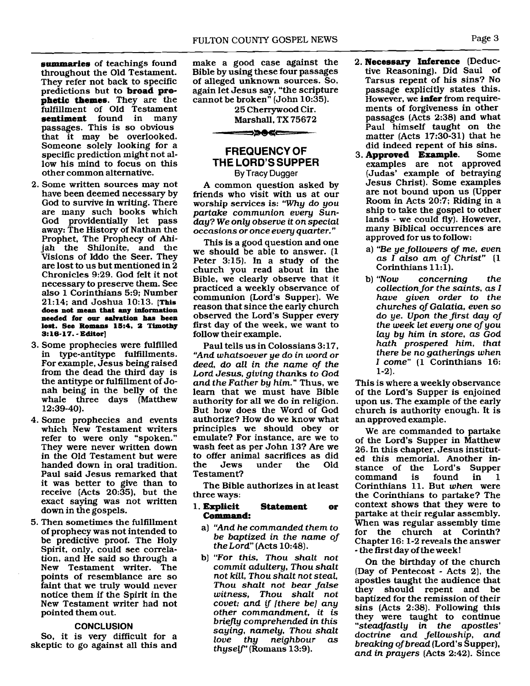**summaries** of teachings found throughout the Old Testament. They refer not back to specific predictions but to **broad prophetic themes.** They are the fulfillment of Old Testament **sentiment** found in many passages. This is so obvious that it may be overlooked. Someone solely looking for a specific prediction might not allow his mind to focus on this other common alternative.

- 2. Some written sources may not have been deemed necessary by God to survive in writing. There are many such books which God providentially let pass away: The History of Nathan the Prophet, The Prophecy of Ahijah the Shilonite, and the Visions of Iddo the Seer. They are lost to us but mentioned in 2 Chronicles 9:29. God felt it not necessary to preserve them. See also 1 Corinthians 5:9; Number 21:14; and Joshua 10:13. **his does not mean that any information needed for om dvatlon has been lost. See Romans 15:4, 2 Timothy S:16-17.** - **Editor]**
- 3. Some prophecies were fulfilled in type-antitype fulfillments. For example, Jesus being raised from the dead the third day is the antitype or fulfillment of Jonah being in the belly of the whale three days (Matthew 12:39-40).
- 4. Some prophecies and events which New Testament writers refer to were only "spoken." They were never written down in the Old Testament but were handed down in oral tradition. Paul said Jesus remarked that it was better to give than to receive (Acts 20:35), but the exact saying was not written down in the gospels.
- 5. Then sometimes the fulfillment of prophecy was not intended to be predictive proof. The Holy Spirit, only, could see correlation, and He said so through a New Testament writer. The points of resemblance are so faint that we truly would never notice them if the Spirit in the New Testament writer had not pointed them out.

#### **CONCLUSION**

So, it is very difficult for a skeptic to go against all this and make a good case against the Bible by using these four passages of alleged unknown sources. So, again let Jesus say, "the scripture cannot be broken" (John 10:35).

25 Cherrywood Cir.

Marshall, TX 75672

#### **FREQUENCY OF THE LORD'S SUPPER**  By Tracy Dugger

->0c=

A common question asked by friends who visit with us at our worship services is: "Why do you partake communion every Sunday? We only observe it on special occasions or once every quarter."

This is a good question and one we should be able to answer. (1 Peter 3:15). In a study of the church you read about in the Bible, we clearly observe that it practiced a weekly observance of communion (Lord's Supper). We reason that since the early church observed the Lord's Supper every first day of the week, we want to follow their example.

Paul tells us in Colossians 3:17. "And whatsoever ye do in word or deed, do all in the name of the Lord Jesus, giving thanks to God and the Father by him." Thus, we learn that we must have Bible authority for all we do in religion. But how does the Word of God authorize? How do we know what principles we should obey or emulate? For instance, are we to wash feet as per John 13? Are we to offer animal sacrifices as did under Testament?

The Bible authorizes in at least three ways:

#### 1. **Explicit Statement or Command:**

- a) "And he commanded them to be baptized in the name of the Lord" (Acts  $10:48$ ).
- b) "For this, Thou shalt not commit adultery, Thou shalt not kill, Thou shalt not steal, Thou shalt not bear false witness, Thou shalt not covet; and **ij** [there be] any other commandment, it is briefly comprehended in this saying, namely, Thou shalt love thy neighbour as thyself" (Romans  $13:9$ ).
- 2. **Necessary Inference** (Deductive Reasoning). Did Saul of Tarsus repent of his sins? No passage explicitly states this. However, we **infer** from requirements of forgiveness in other passages (Acts 2:38) and what Paul himself taught on the matter (Acts 17:30-31) that he
- did indeed repent of his sins.<br>**Approved Example**. Some 3. **Approved** Example. examples are not approved (Judas' example of betraying Jesus Christ). Some examples are not bound upon us (Upper Room in Acts 20:7; Riding in a ship to take the gospel to other lands - we could fly). However, many Biblical occurrences' are approved for us to follow:
	- a) "Be ye followers of me, even as I also am of Christ" (1 Corinthians 11:l).
	- b) "Now concerning the collection for the saints, **as** I have given order to the churches of Galatia, even so do ye. Upon the first day of the week let every one of you lay by him in store, as God hath prospered him, that there be no gatherings when I come" (1 Corinthians 16: 1-2).

This is where a weekly observance of the Lord's Supper is enjoined upon us. The example of the early church is authority enough. It is an approved example.

We are commanded to partake of the Lord's Supper in Matthew 26. In this chapter, Jesus instituted this memorial. Another instance of the Lord's Supper<br>command is found in 1 command is found in 1 Corinthians 11. But when were the Corinthians to partake? The context shows that they were to partake at their regular assembly. When was regular assembly time for the church at Corinth? Chapter 16: 1-2 reveals the answer - the first day of the week!

On the birthday of the church (Day of Pentecost - Acts 2), the apostles taught the audience that they should repent and be baptized for the remission of their sins (Acts 2:38). Following this they were taught to continue "steadfastly in the apostles' doctrine and fellowship, and breaking of bread (Lord's Supper), and in prayers (Acts 2:42). Since